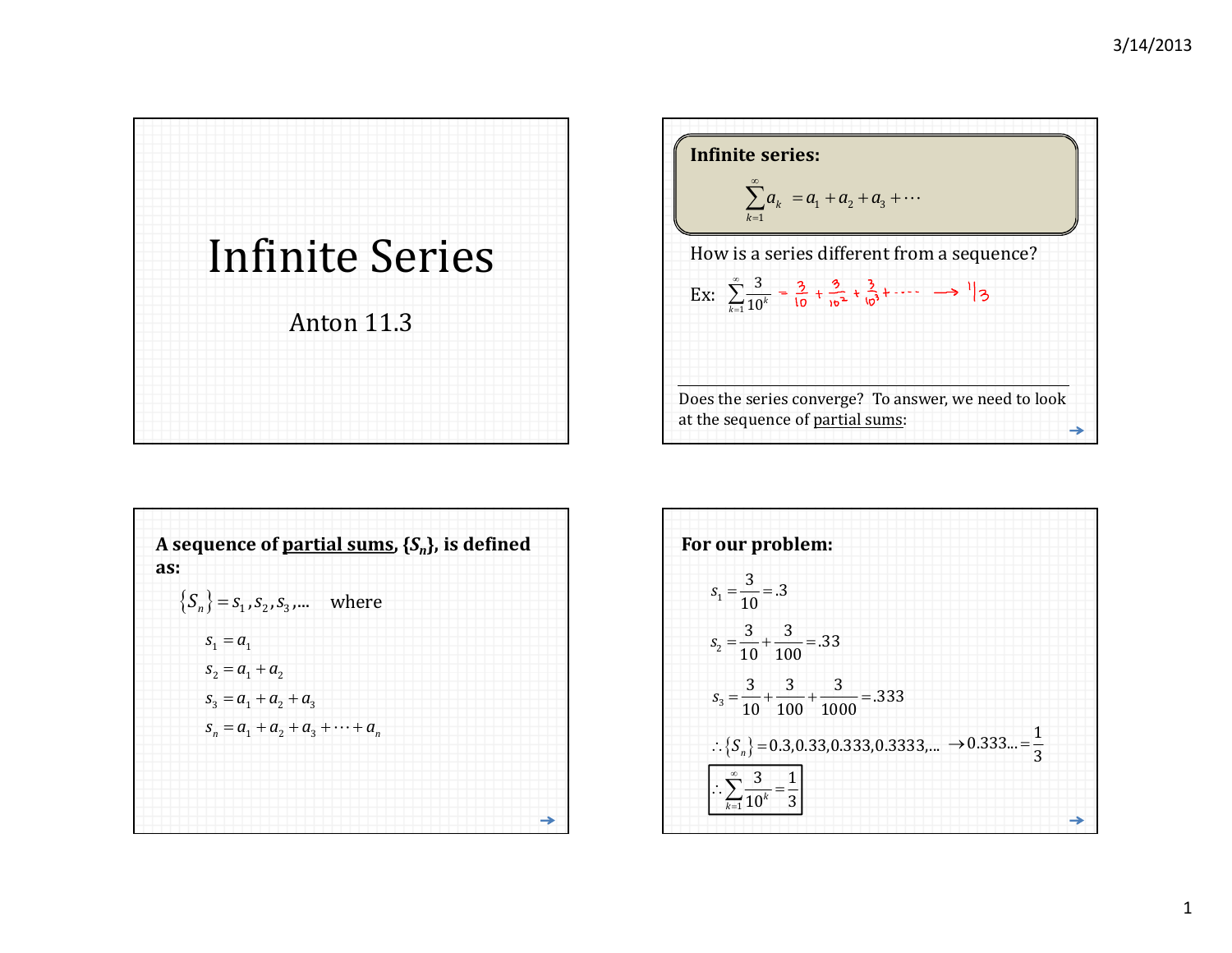



| A sequence of partial sums, $\{S_n\}$ , is defined<br>as: |
|-----------------------------------------------------------|
| ${S_n} = s_1, s_2, s_3, $ where                           |
| $S_1 = a_1$                                               |
| $S_2 = a_1 + a_2$                                         |
| $S_3 = a_1 + a_2 + a_3$                                   |
| $S_n = a_1 + a_2 + a_3 + \cdots + a_n$                    |
|                                                           |
|                                                           |
|                                                           |

| For our problem:                                                                  |  |
|-----------------------------------------------------------------------------------|--|
| $s_1 = \frac{3}{10} = .3$                                                         |  |
| $s_2 = \frac{3}{10} + \frac{3}{100} = .33$                                        |  |
| $s_3 = \frac{3}{10} + \frac{3}{100} + \frac{3}{1000} = .333$                      |  |
| $\therefore \{S_n\} = 0.3, 0.33, 0.333, 0.3333,  \rightarrow 0.333 = \frac{1}{3}$ |  |
| $\therefore \sum_{k=1}^{\infty} \frac{3}{10^k} = \frac{1}{3}$                     |  |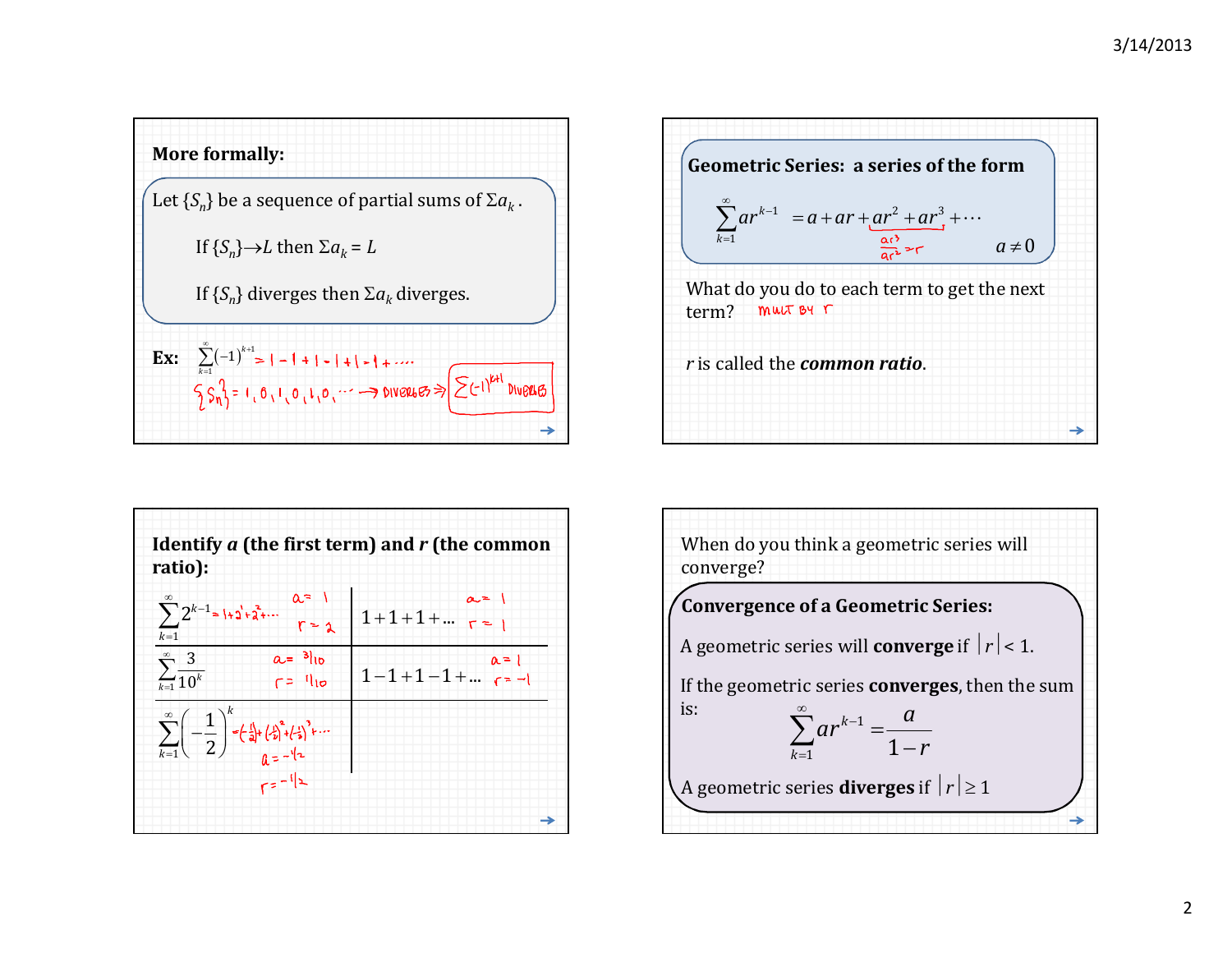





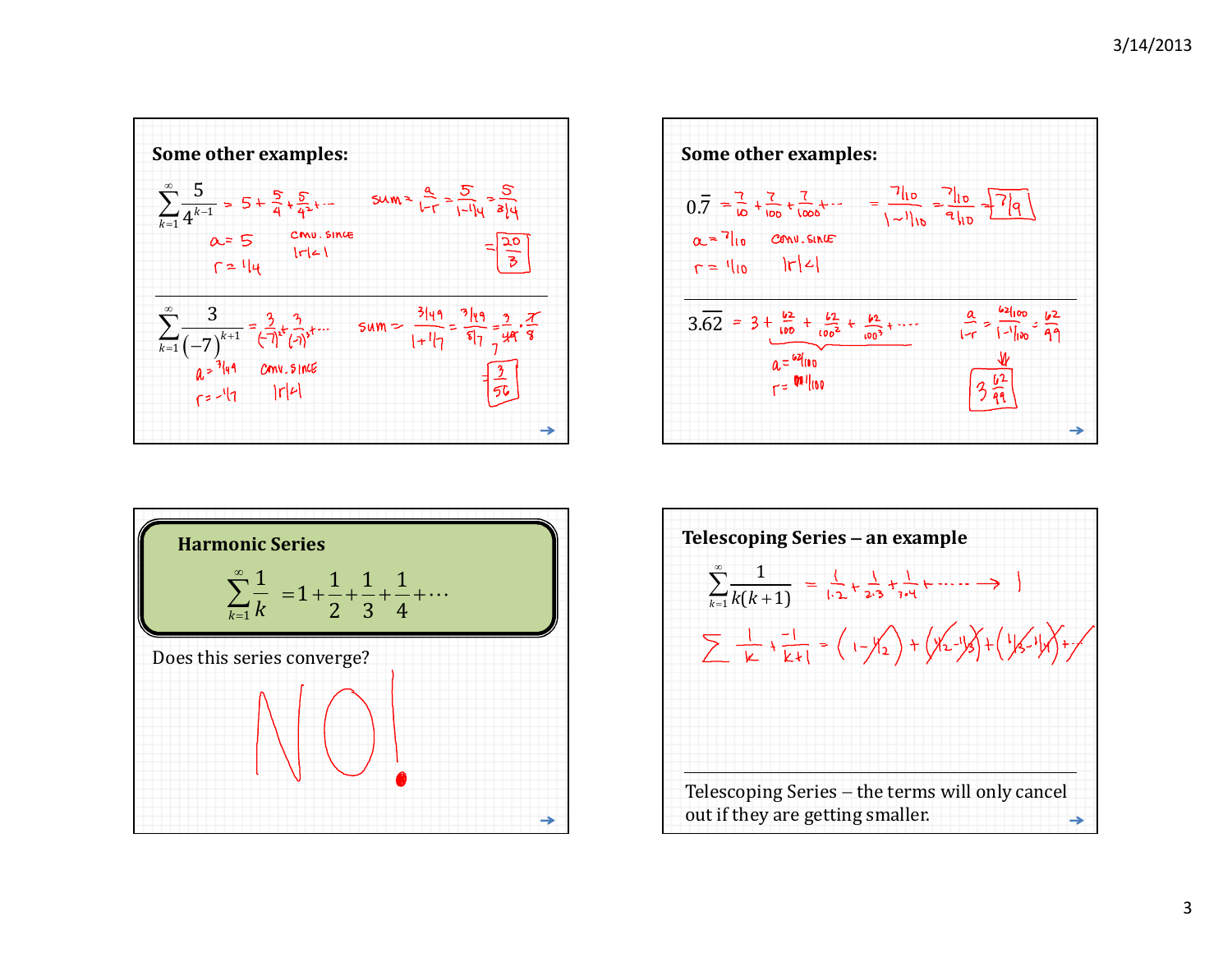